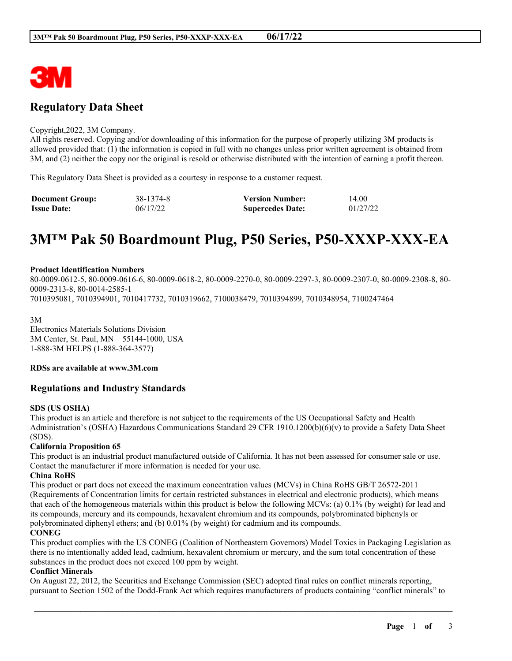

# **Regulatory Data Sheet**

#### Copyright,2022, 3M Company.

All rights reserved. Copying and/or downloading of this information for the purpose of properly utilizing 3M products is allowed provided that: (1) the information is copied in full with no changes unless prior written agreement is obtained from 3M, and (2) neither the copy nor the original is resold or otherwise distributed with the intention of earning a profit thereon.

This Regulatory Data Sheet is provided as a courtesy in response to a customer request.

| <b>Document Group:</b> | 38-1374-8 | <b>Version Number:</b>  | 14.00    |
|------------------------|-----------|-------------------------|----------|
| <b>Issue Date:</b>     | 06/17/22  | <b>Supercedes Date:</b> | 01/27/22 |

# **3M™ Pak 50 Boardmount Plug, P50 Series, P50-XXXP-XXX-EA**

#### **Product Identification Numbers**

80-0009-0612-5, 80-0009-0616-6, 80-0009-0618-2, 80-0009-2270-0, 80-0009-2297-3, 80-0009-2307-0, 80-0009-2308-8, 80- 0009-2313-8, 80-0014-2585-1 7010395081, 7010394901, 7010417732, 7010319662, 7100038479, 7010394899, 7010348954, 7100247464

3M Electronics Materials Solutions Division 3M Center, St. Paul, MN 55144-1000, USA 1-888-3M HELPS (1-888-364-3577)

**RDSs are available at www.3M.com**

# **Regulations and Industry Standards**

#### **SDS (US OSHA)**

This product is an article and therefore is not subject to the requirements of the US Occupational Safety and Health Administration's (OSHA) Hazardous Communications Standard 29 CFR 1910.1200(b)(6)(v) to provide a Safety Data Sheet (SDS).

#### **California Proposition 65**

This product is an industrial product manufactured outside of California. It has not been assessed for consumer sale or use. Contact the manufacturer if more information is needed for your use.

#### **China RoHS**

This product or part does not exceed the maximum concentration values (MCVs) in China RoHS GB/T 26572-2011 (Requirements of Concentration limits for certain restricted substances in electrical and electronic products), which means that each of the homogeneous materials within this product is below the following MCVs: (a) 0.1% (by weight) for lead and its compounds, mercury and its compounds, hexavalent chromium and its compounds, polybrominated biphenyls or polybrominated diphenyl ethers; and (b) 0.01% (by weight) for cadmium and its compounds.

## **CONEG**

This product complies with the US CONEG (Coalition of Northeastern Governors) Model Toxics in Packaging Legislation as there is no intentionally added lead, cadmium, hexavalent chromium or mercury, and the sum total concentration of these substances in the product does not exceed 100 ppm by weight.

#### **Conflict Minerals**

On August 22, 2012, the Securities and Exchange Commission (SEC) adopted final rules on conflict minerals reporting, pursuant to Section 1502 of the Dodd-Frank Act which requires manufacturers of products containing "conflict minerals" to

\_\_\_\_\_\_\_\_\_\_\_\_\_\_\_\_\_\_\_\_\_\_\_\_\_\_\_\_\_\_\_\_\_\_\_\_\_\_\_\_\_\_\_\_\_\_\_\_\_\_\_\_\_\_\_\_\_\_\_\_\_\_\_\_\_\_\_\_\_\_\_\_\_\_\_\_\_\_\_\_\_\_\_\_\_\_\_\_\_\_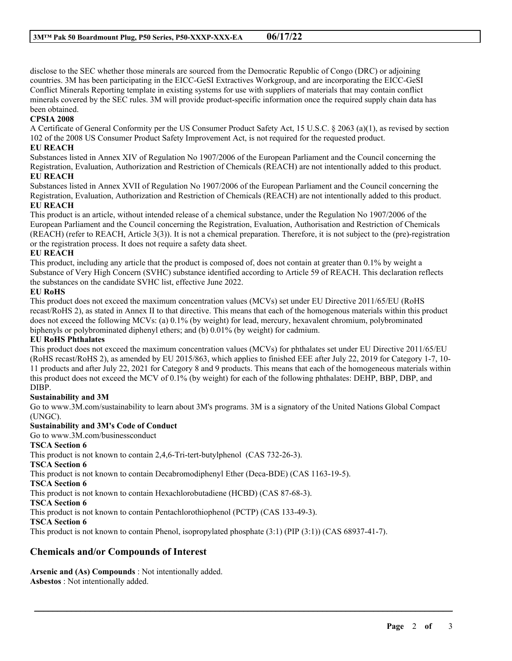disclose to the SEC whether those minerals are sourced from the Democratic Republic of Congo (DRC) or adjoining countries. 3M has been participating in the EICC-GeSI Extractives Workgroup, and are incorporating the EICC-GeSI Conflict Minerals Reporting template in existing systems for use with suppliers of materials that may contain conflict minerals covered by the SEC rules. 3M will provide product-specific information once the required supply chain data has been obtained.

# **CPSIA 2008**

A Certificate of General Conformity per the US Consumer Product Safety Act, 15 U.S.C. § 2063 (a)(1), as revised by section 102 of the 2008 US Consumer Product Safety Improvement Act, is not required for the requested product.

## **EU REACH**

Substances listed in Annex XIV of Regulation No 1907/2006 of the European Parliament and the Council concerning the Registration, Evaluation, Authorization and Restriction of Chemicals (REACH) are not intentionally added to this product. **EU REACH**

Substances listed in Annex XVII of Regulation No 1907/2006 of the European Parliament and the Council concerning the Registration, Evaluation, Authorization and Restriction of Chemicals (REACH) are not intentionally added to this product. **EU REACH**

This product is an article, without intended release of a chemical substance, under the Regulation No 1907/2006 of the European Parliament and the Council concerning the Registration, Evaluation, Authorisation and Restriction of Chemicals (REACH) (refer to REACH, Article 3(3)). It is not a chemical preparation. Therefore, it is not subject to the (pre)-registration or the registration process. It does not require a safety data sheet.

#### **EU REACH**

This product, including any article that the product is composed of, does not contain at greater than 0.1% by weight a Substance of Very High Concern (SVHC) substance identified according to Article 59 of REACH. This declaration reflects the substances on the candidate SVHC list, effective June 2022.

#### **EU RoHS**

This product does not exceed the maximum concentration values (MCVs) set under EU Directive 2011/65/EU (RoHS recast/RoHS 2), as stated in Annex II to that directive. This means that each of the homogenous materials within this product does not exceed the following MCVs: (a) 0.1% (by weight) for lead, mercury, hexavalent chromium, polybrominated biphenyls or polybrominated diphenyl ethers; and (b) 0.01% (by weight) for cadmium.

#### **EU RoHS Phthalates**

This product does not exceed the maximum concentration values (MCVs) for phthalates set under EU Directive 2011/65/EU (RoHS recast/RoHS 2), as amended by EU 2015/863, which applies to finished EEE after July 22, 2019 for Category 1-7, 10- 11 products and after July 22, 2021 for Category 8 and 9 products. This means that each of the homogeneous materials within this product does not exceed the MCV of 0.1% (by weight) for each of the following phthalates: DEHP, BBP, DBP, and DIBP.

#### **Sustainability and 3M**

Go to www.3M.com/sustainability to learn about 3M's programs. 3M is a signatory of the United Nations Global Compact (UNGC).

\_\_\_\_\_\_\_\_\_\_\_\_\_\_\_\_\_\_\_\_\_\_\_\_\_\_\_\_\_\_\_\_\_\_\_\_\_\_\_\_\_\_\_\_\_\_\_\_\_\_\_\_\_\_\_\_\_\_\_\_\_\_\_\_\_\_\_\_\_\_\_\_\_\_\_\_\_\_\_\_\_\_\_\_\_\_\_\_\_\_

# **Sustainability and 3M's Code of Conduct**

Go to www.3M.com/businessconduct

# **TSCA Section 6**

This product is not known to contain 2,4,6-Tri-tert-butylphenol (CAS 732-26-3).

**TSCA Section 6**

This product is not known to contain Decabromodiphenyl Ether (Deca-BDE) (CAS 1163-19-5).

#### **TSCA Section 6**

This product is not known to contain Hexachlorobutadiene (HCBD) (CAS 87-68-3).

#### **TSCA Section 6**

This product is not known to contain Pentachlorothiophenol (PCTP) (CAS 133-49-3).

#### **TSCA Section 6**

This product is not known to contain Phenol, isopropylated phosphate (3:1) (PIP (3:1)) (CAS 68937-41-7).

# **Chemicals and/or Compounds of Interest**

**Arsenic and (As) Compounds** : Not intentionally added. **Asbestos** : Not intentionally added.